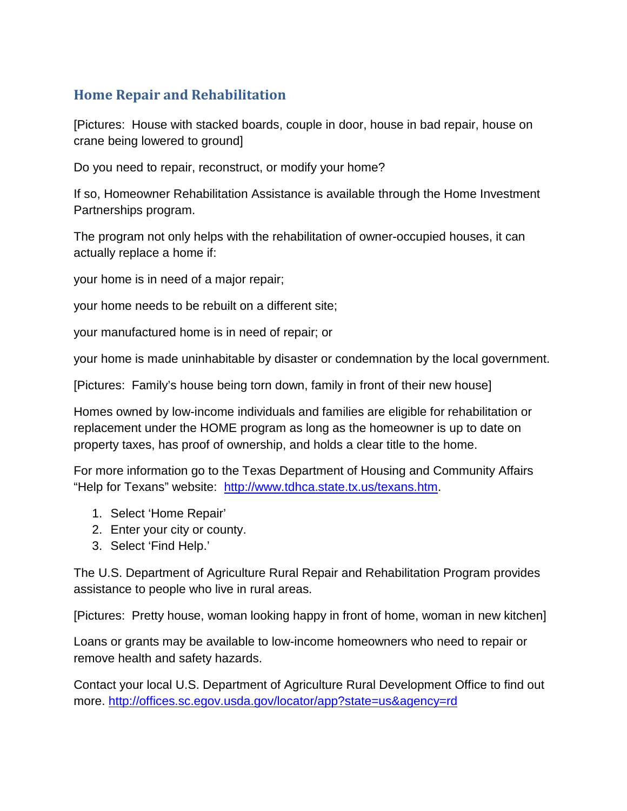## **Home Repair and Rehabilitation**

[Pictures: House with stacked boards, couple in door, house in bad repair, house on crane being lowered to ground]

Do you need to repair, reconstruct, or modify your home?

If so, Homeowner Rehabilitation Assistance is available through the Home Investment Partnerships program.

The program not only helps with the rehabilitation of owner-occupied houses, it can actually replace a home if:

your home is in need of a major repair;

your home needs to be rebuilt on a different site;

your manufactured home is in need of repair; or

your home is made uninhabitable by disaster or condemnation by the local government.

[Pictures: Family's house being torn down, family in front of their new house]

Homes owned by low-income individuals and families are eligible for rehabilitation or replacement under the HOME program as long as the homeowner is up to date on property taxes, has proof of ownership, and holds a clear title to the home.

For more information go to the Texas Department of Housing and Community Affairs "Help for Texans" website: [http://www.tdhca.state.tx.us/texans.htm.](http://www.tdhca.state.tx.us/texans.htm)

- 1. Select 'Home Repair'
- 2. Enter your city or county.
- 3. Select 'Find Help.'

The U.S. Department of Agriculture Rural Repair and Rehabilitation Program provides assistance to people who live in rural areas.

[Pictures: Pretty house, woman looking happy in front of home, woman in new kitchen]

Loans or grants may be available to low-income homeowners who need to repair or remove health and safety hazards.

Contact your local U.S. Department of Agriculture Rural Development Office to find out more. <http://offices.sc.egov.usda.gov/locator/app?state=us&agency=rd>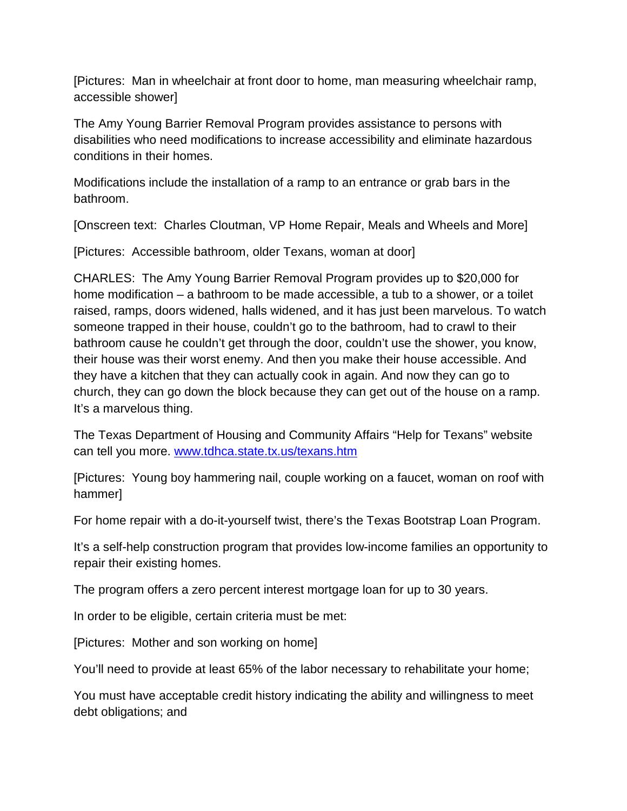[Pictures: Man in wheelchair at front door to home, man measuring wheelchair ramp, accessible shower]

The Amy Young Barrier Removal Program provides assistance to persons with disabilities who need modifications to increase accessibility and eliminate hazardous conditions in their homes.

Modifications include the installation of a ramp to an entrance or grab bars in the bathroom.

[Onscreen text: Charles Cloutman, VP Home Repair, Meals and Wheels and More]

[Pictures: Accessible bathroom, older Texans, woman at door]

CHARLES: The Amy Young Barrier Removal Program provides up to \$20,000 for home modification – a bathroom to be made accessible, a tub to a shower, or a toilet raised, ramps, doors widened, halls widened, and it has just been marvelous. To watch someone trapped in their house, couldn't go to the bathroom, had to crawl to their bathroom cause he couldn't get through the door, couldn't use the shower, you know, their house was their worst enemy. And then you make their house accessible. And they have a kitchen that they can actually cook in again. And now they can go to church, they can go down the block because they can get out of the house on a ramp. It's a marvelous thing.

The Texas Department of Housing and Community Affairs "Help for Texans" website can tell you more. [www.tdhca.state.tx.us/texans.htm](http://www.tdhca.state.tx.us/texans.htm)

[Pictures: Young boy hammering nail, couple working on a faucet, woman on roof with hammer]

For home repair with a do-it-yourself twist, there's the Texas Bootstrap Loan Program.

It's a self-help construction program that provides low-income families an opportunity to repair their existing homes.

The program offers a zero percent interest mortgage loan for up to 30 years.

In order to be eligible, certain criteria must be met:

[Pictures: Mother and son working on home]

You'll need to provide at least 65% of the labor necessary to rehabilitate your home;

You must have acceptable credit history indicating the ability and willingness to meet debt obligations; and